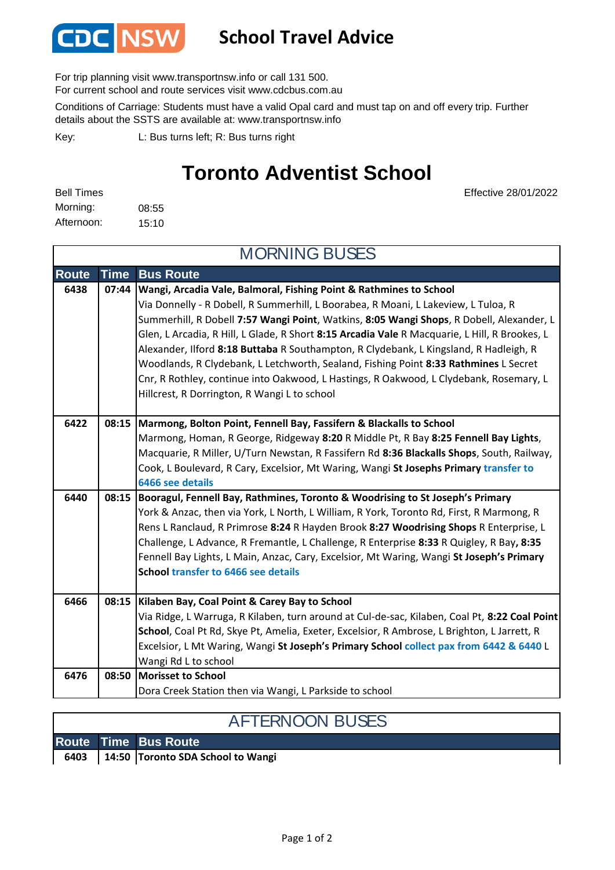

## **School Travel Advice**

For trip planning visit www.transportnsw.info or call 131 500.

For current school and route services visit www.cdcbus.com.au

Conditions of Carriage: Students must have a valid Opal card and must tap on and off every trip. Further details about the SSTS are available at: www.transportnsw.info

L: Bus turns left; R: Bus turns right Key:

## **Toronto Adventist School**

08:55 15:10 Afternoon: Morning: Bell Times

Effective 28/01/2022

| <b>MORNING BUSES</b> |             |                                                                                                                                                                                                                                                                                                                                                                                                                                                                                                                                                                                                                                                                                  |  |  |
|----------------------|-------------|----------------------------------------------------------------------------------------------------------------------------------------------------------------------------------------------------------------------------------------------------------------------------------------------------------------------------------------------------------------------------------------------------------------------------------------------------------------------------------------------------------------------------------------------------------------------------------------------------------------------------------------------------------------------------------|--|--|
| <b>Route</b>         | <b>Time</b> | <b>Bus Route</b>                                                                                                                                                                                                                                                                                                                                                                                                                                                                                                                                                                                                                                                                 |  |  |
| 6438                 | 07:44       | Wangi, Arcadia Vale, Balmoral, Fishing Point & Rathmines to School<br>Via Donnelly - R Dobell, R Summerhill, L Boorabea, R Moani, L Lakeview, L Tuloa, R<br>Summerhill, R Dobell 7:57 Wangi Point, Watkins, 8:05 Wangi Shops, R Dobell, Alexander, L<br>Glen, L Arcadia, R Hill, L Glade, R Short 8:15 Arcadia Vale R Macquarie, L Hill, R Brookes, L<br>Alexander, Ilford 8:18 Buttaba R Southampton, R Clydebank, L Kingsland, R Hadleigh, R<br>Woodlands, R Clydebank, L Letchworth, Sealand, Fishing Point 8:33 Rathmines L Secret<br>Cnr, R Rothley, continue into Oakwood, L Hastings, R Oakwood, L Clydebank, Rosemary, L<br>Hillcrest, R Dorrington, R Wangi L to school |  |  |
| 6422                 | 08:15       | Marmong, Bolton Point, Fennell Bay, Fassifern & Blackalls to School<br>Marmong, Homan, R George, Ridgeway 8:20 R Middle Pt, R Bay 8:25 Fennell Bay Lights,<br>Macquarie, R Miller, U/Turn Newstan, R Fassifern Rd 8:36 Blackalls Shops, South, Railway,<br>Cook, L Boulevard, R Cary, Excelsior, Mt Waring, Wangi St Josephs Primary transfer to<br>6466 see details                                                                                                                                                                                                                                                                                                             |  |  |
| 6440                 | 08:15       | Booragul, Fennell Bay, Rathmines, Toronto & Woodrising to St Joseph's Primary<br>York & Anzac, then via York, L North, L William, R York, Toronto Rd, First, R Marmong, R<br>Rens L Ranclaud, R Primrose 8:24 R Hayden Brook 8:27 Woodrising Shops R Enterprise, L<br>Challenge, L Advance, R Fremantle, L Challenge, R Enterprise 8:33 R Quigley, R Bay, 8:35<br>Fennell Bay Lights, L Main, Anzac, Cary, Excelsior, Mt Waring, Wangi St Joseph's Primary<br>School transfer to 6466 see details                                                                                                                                                                                |  |  |
| 6466                 | 08:15       | Kilaben Bay, Coal Point & Carey Bay to School<br>Via Ridge, L Warruga, R Kilaben, turn around at Cul-de-sac, Kilaben, Coal Pt, 8:22 Coal Point<br>School, Coal Pt Rd, Skye Pt, Amelia, Exeter, Excelsior, R Ambrose, L Brighton, L Jarrett, R<br>Excelsior, L Mt Waring, Wangi St Joseph's Primary School collect pax from 6442 & 6440 L<br>Wangi Rd L to school                                                                                                                                                                                                                                                                                                                 |  |  |
| 6476                 | 08:50       | <b>Morisset to School</b><br>Dora Creek Station then via Wangi, L Parkside to school                                                                                                                                                                                                                                                                                                                                                                                                                                                                                                                                                                                             |  |  |

|  | <b>AFTERNOON BUSES</b>                   |
|--|------------------------------------------|
|  | <b>Route Time Bus Route</b>              |
|  | 6403   14:50 Toronto SDA School to Wangi |